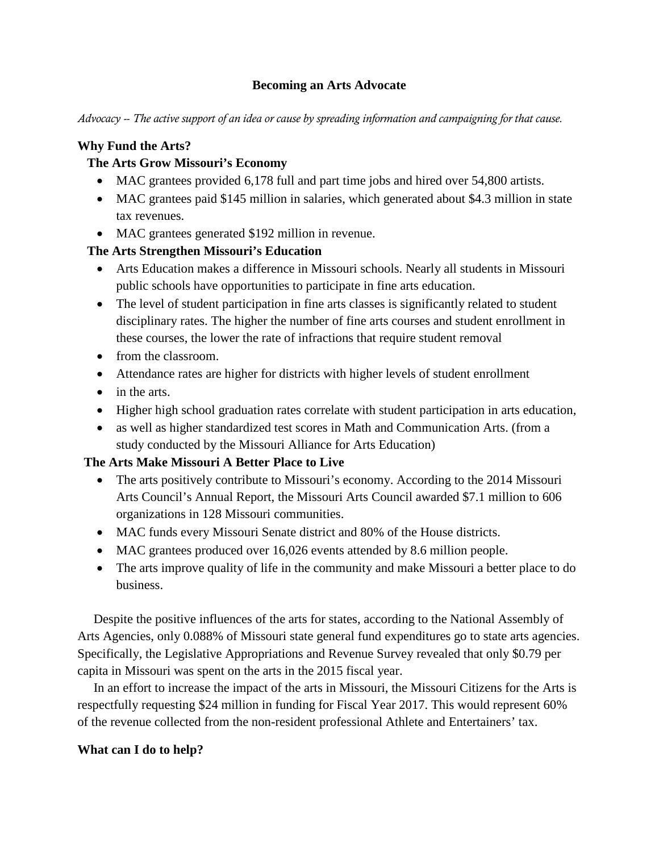## **Becoming an Arts Advocate**

*Advocacy -- The active support of an idea or cause by spreading information and campaigning for that cause.*

## **Why Fund the Arts?**

# **The Arts Grow Missouri's Economy**

- MAC grantees provided 6,178 full and part time jobs and hired over 54,800 artists.
- MAC grantees paid \$145 million in salaries, which generated about \$4.3 million in state tax revenues.
- MAC grantees generated \$192 million in revenue.

# **The Arts Strengthen Missouri's Education**

- Arts Education makes a difference in Missouri schools. Nearly all students in Missouri public schools have opportunities to participate in fine arts education.
- The level of student participation in fine arts classes is significantly related to student disciplinary rates. The higher the number of fine arts courses and student enrollment in these courses, the lower the rate of infractions that require student removal
- from the classroom.
- Attendance rates are higher for districts with higher levels of student enrollment
- in the arts.
- Higher high school graduation rates correlate with student participation in arts education,
- as well as higher standardized test scores in Math and Communication Arts. (from a study conducted by the Missouri Alliance for Arts Education)

## **The Arts Make Missouri A Better Place to Live**

- The arts positively contribute to Missouri's economy. According to the 2014 Missouri Arts Council's Annual Report, the Missouri Arts Council awarded \$7.1 million to 606 organizations in 128 Missouri communities.
- MAC funds every Missouri Senate district and 80% of the House districts.
- MAC grantees produced over 16,026 events attended by 8.6 million people.
- The arts improve quality of life in the community and make Missouri a better place to do business.

 Despite the positive influences of the arts for states, according to the National Assembly of Arts Agencies, only 0.088% of Missouri state general fund expenditures go to state arts agencies. Specifically, the Legislative Appropriations and Revenue Survey revealed that only \$0.79 per capita in Missouri was spent on the arts in the 2015 fiscal year.

 In an effort to increase the impact of the arts in Missouri, the Missouri Citizens for the Arts is respectfully requesting \$24 million in funding for Fiscal Year 2017. This would represent 60% of the revenue collected from the non-resident professional Athlete and Entertainers' tax.

## **What can I do to help?**